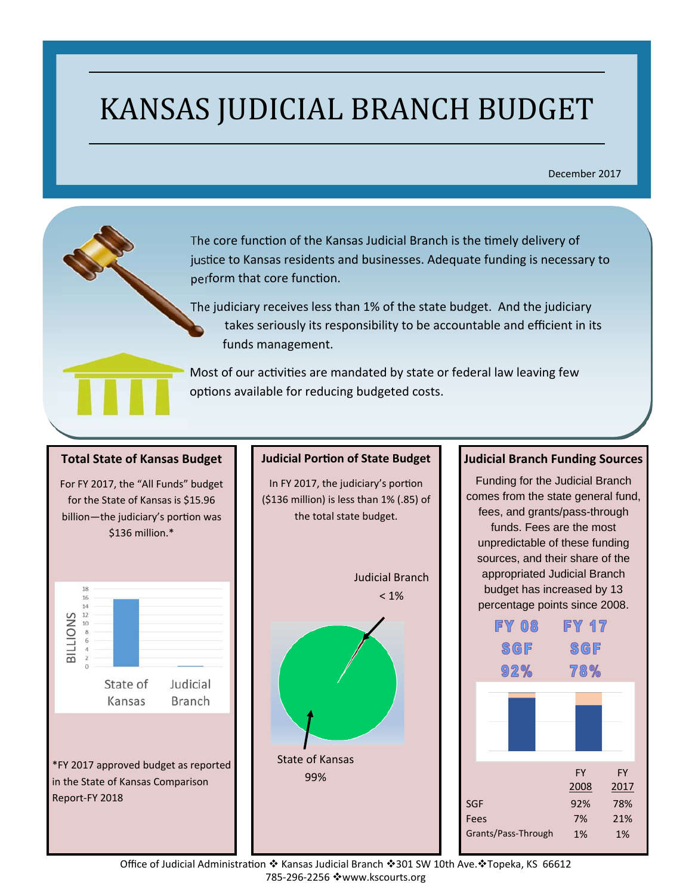# KANSAS JUDICIAL BRANCH BUDGET

December 2017

The core function of the Kansas Judicial Branch is the timely delivery of justice to Kansas residents and businesses. Adequate funding is necessary to perform that core function.

The judiciary receives less than 1% of the state budget. And the judiciary takes seriously its responsibility to be accountable and efficient in its funds management.

Most of our activities are mandated by state or federal law leaving few options available for reducing budgeted costs.

#### **Total State of Kansas Budget**

 $$136$  million. $*$ For FY 2017, the "All Funds" budget for the State of Kansas is \$15.96 billion—the judiciary's portion was



#### **Judicial PorƟon of State Budget**

In FY 2017, the judiciary's portion (\$136 million) is less than 1% (.85) of the total state budget.



#### **Judicial Branch Funding Sources**

Funding for the Judicial Branch comes from the state general fund, fees, and grants/pass-through funds. Fees are the most unpredictable of these funding sources, and their share of the appropriated Judicial Branch budget has increased by 13 percentage points since 2008.



Office of Judicial Administration ❖ Kansas Judicial Branch ◆301 SW 10th Ave. ◆Topeka, KS 66612 785‐296‐2256 www.kscourts.org